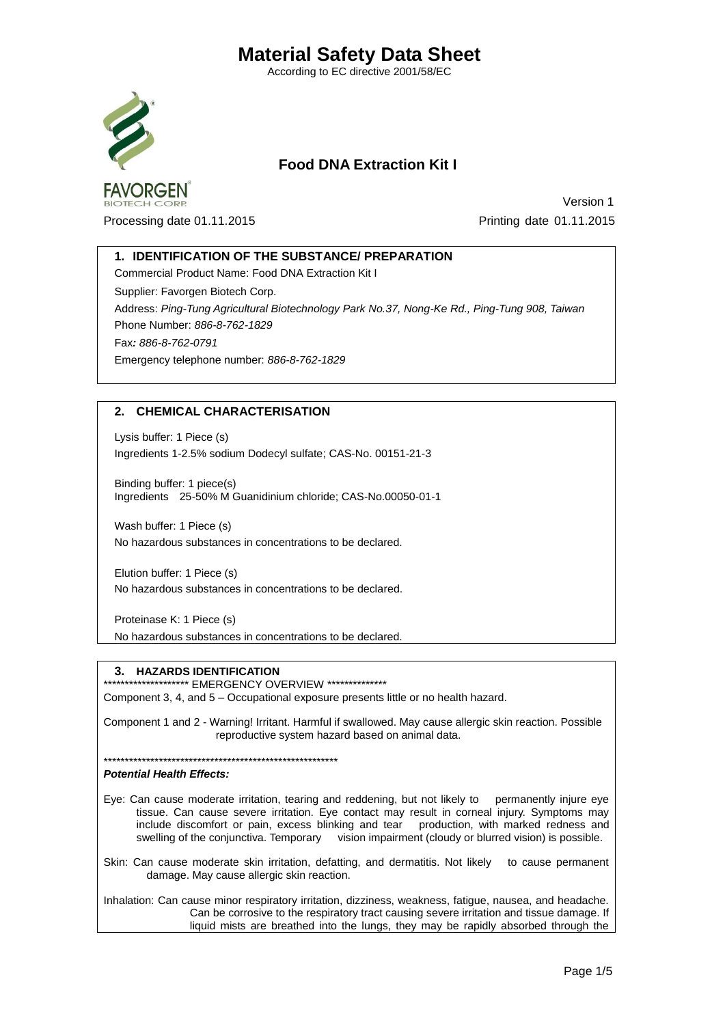According to EC directive 2001/58/EC



## **Food DNA Extraction Kit I**

Processing date 01.11.2015 Printing date 01.11.2015

**Version 1** 

## **1. IDENTIFICATION OF THE SUBSTANCE/ PREPARATION**

Commercial Product Name: Food DNA Extraction Kit I Supplier: Favorgen Biotech Corp. Address: *Ping-Tung Agricultural Biotechnology Park No.37, Nong-Ke Rd., Ping-Tung 908, Taiwan* Phone Number: *886-8-762-1829* Fax*: 886-8-762-0791* Emergency telephone number: *886-8-762-1829*

## **2. CHEMICAL CHARACTERISATION**

Lysis buffer: 1 Piece (s) Ingredients 1-2.5% sodium Dodecyl sulfate; CAS-No. 00151-21-3

Binding buffer: 1 piece(s) Ingredients 25-50% M Guanidinium chloride; CAS-No.00050-01-1

Wash buffer: 1 Piece (s) No hazardous substances in concentrations to be declared.

Elution buffer: 1 Piece (s) No hazardous substances in concentrations to be declared.

Proteinase K: 1 Piece (s) No hazardous substances in concentrations to be declared.

#### **3. HAZARDS IDENTIFICATION**

\*\*\*\*\*\*\*\*\*\*\*\*\*\*\*\*\*\*\*\*\*\* EMERGENCY OVERVIEW \*\*\*\*\*\*\*\*\*\*\*\*\*\*\*

Component 3, 4, and 5 – Occupational exposure presents little or no health hazard.

Component 1 and 2 - Warning! Irritant. Harmful if swallowed. May cause allergic skin reaction. Possible reproductive system hazard based on animal data.

\*\*\*\*\*\*\*\*\*\*\*\*\*\*\*\*\*\*\*\*\*\*\*\*\*\*\*\*\*\*\*\*\*\*\*\*\*\*\*\*\*\*\*\*\*\*\*\*\*\*\*\*\*\*\*

#### *Potential Health Effects:*

Eye: Can cause moderate irritation, tearing and reddening, but not likely to permanently injure eye tissue. Can cause severe irritation. Eye contact may result in corneal injury. Symptoms may include discomfort or pain, excess blinking and tear production, with marked redness and swelling of the conjunctiva. Temporary vision impairment (cloudy or blurred vision) is possible.

Skin: Can cause moderate skin irritation, defatting, and dermatitis. Not likely to cause permanent damage. May cause allergic skin reaction.

Inhalation: Can cause minor respiratory irritation, dizziness, weakness, fatigue, nausea, and headache. Can be corrosive to the respiratory tract causing severe irritation and tissue damage. If liquid mists are breathed into the lungs, they may be rapidly absorbed through the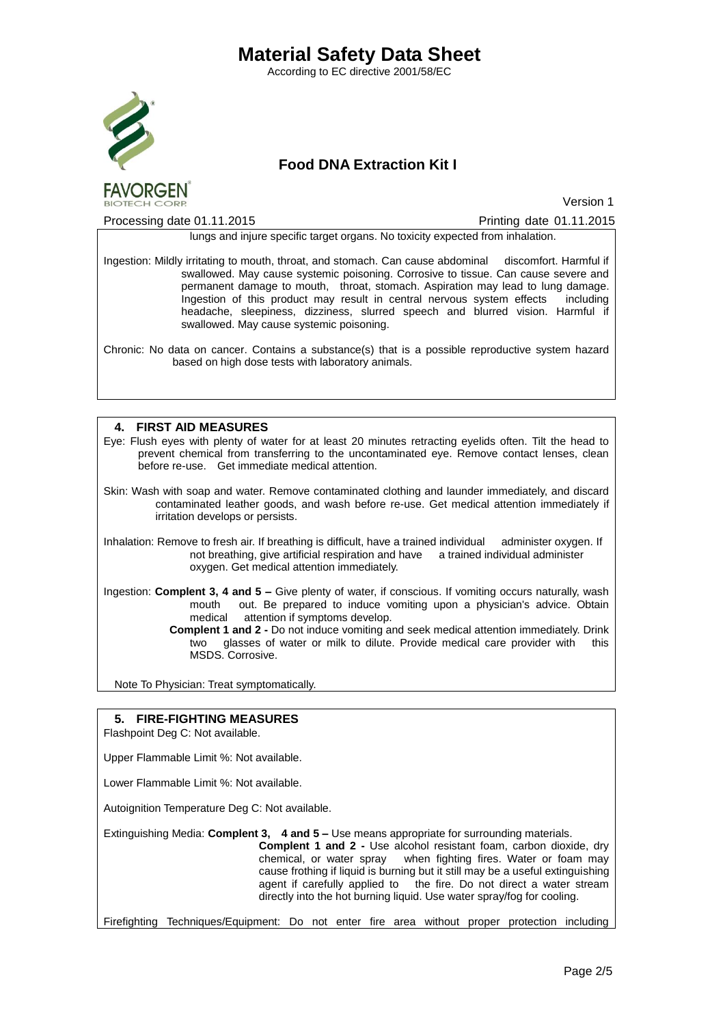According to EC directive 2001/58/EC



## **Food DNA Extraction Kit I**

**Version 1** 

Processing date 01.11.2015 Processing date 01.11.2015

lungs and injure specific target organs. No toxicity expected from inhalation.

Ingestion: Mildly irritating to mouth, throat, and stomach. Can cause abdominal discomfort. Harmful if swallowed. May cause systemic poisoning. Corrosive to tissue. Can cause severe and permanent damage to mouth, throat, stomach. Aspiration may lead to lung damage. Ingestion of this product may result in central nervous system effects including headache, sleepiness, dizziness, slurred speech and blurred vision. Harmful if swallowed. May cause systemic poisoning.

Chronic: No data on cancer. Contains a substance(s) that is a possible reproductive system hazard based on high dose tests with laboratory animals.

## **4. FIRST AID MEASURES**

Eye: Flush eyes with plenty of water for at least 20 minutes retracting eyelids often. Tilt the head to prevent chemical from transferring to the uncontaminated eye. Remove contact lenses, clean before re-use. Get immediate medical attention.

Skin: Wash with soap and water. Remove contaminated clothing and launder immediately, and discard contaminated leather goods, and wash before re-use. Get medical attention immediately if irritation develops or persists.

Inhalation: Remove to fresh air. If breathing is difficult, have a trained individual administer oxygen. If not breathing, give artificial respiration and have a trained individual administer oxygen. Get medical attention immediately.

Ingestion: **Complent 3, 4 and 5 –** Give plenty of water, if conscious. If vomiting occurs naturally, wash mouth out. Be prepared to induce vomiting upon a physician's advice. Obtain medical attention if symptoms develop.

 **Complent 1 and 2 -** Do not induce vomiting and seek medical attention immediately. Drink two glasses of water or milk to dilute. Provide medical care provider with this MSDS. Corrosive.

Note To Physician: Treat symptomatically.

## **5. FIRE-FIGHTING MEASURES**

Flashpoint Deg C: Not available.

Upper Flammable Limit %: Not available.

Lower Flammable Limit %: Not available.

Autoignition Temperature Deg C: Not available.

Extinguishing Media: **Complent 3, 4 and 5 –** Use means appropriate for surrounding materials.

**Complent 1 and 2 -** Use alcohol resistant foam, carbon dioxide, dry chemical, or water spray when fighting fires. Water or foam may cause frothing if liquid is burning but it still may be a useful extinguishing agent if carefully applied to the fire. Do not direct a water stream directly into the hot burning liquid. Use water spray/fog for cooling.

Firefighting Techniques/Equipment: Do not enter fire area without proper protection including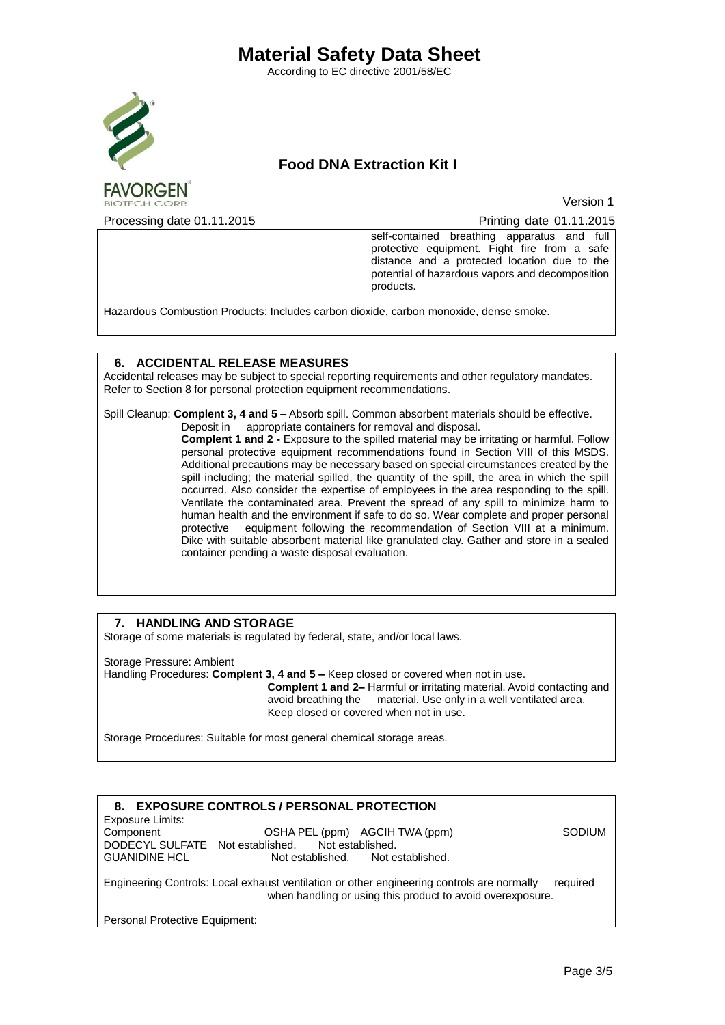According to EC directive 2001/58/EC



**FAVORGEN** 

## **Food DNA Extraction Kit I**

**Version 1** 

Processing date 01.11.2015 Processing date 01.11.2015

self-contained breathing apparatus and full protective equipment. Fight fire from a safe distance and a protected location due to the potential of hazardous vapors and decomposition products.

Hazardous Combustion Products: Includes carbon dioxide, carbon monoxide, dense smoke.

#### **6. ACCIDENTAL RELEASE MEASURES**

Accidental releases may be subject to special reporting requirements and other regulatory mandates. Refer to Section 8 for personal protection equipment recommendations.

Spill Cleanup: **Complent 3, 4 and 5 –** Absorb spill. Common absorbent materials should be effective. Deposit in appropriate containers for removal and disposal.

**Complent 1 and 2 -** Exposure to the spilled material may be irritating or harmful. Follow personal protective equipment recommendations found in Section VIII of this MSDS. Additional precautions may be necessary based on special circumstances created by the spill including; the material spilled, the quantity of the spill, the area in which the spill occurred. Also consider the expertise of employees in the area responding to the spill. Ventilate the contaminated area. Prevent the spread of any spill to minimize harm to human health and the environment if safe to do so. Wear complete and proper personal protective equipment following the recommendation of Section VIII at a minimum. equipment following the recommendation of Section VIII at a minimum. Dike with suitable absorbent material like granulated clay. Gather and store in a sealed container pending a waste disposal evaluation.

#### **7. HANDLING AND STORAGE**

Storage of some materials is regulated by federal, state, and/or local laws.

Storage Pressure: Ambient Handling Procedures: **Complent 3, 4 and 5 –** Keep closed or covered when not in use. **Complent 1 and 2–** Harmful or irritating material. Avoid contacting and avoid breathing the material. Use only in a well ventilated area. Keep closed or covered when not in use.

Storage Procedures: Suitable for most general chemical storage areas.

#### **8. EXPOSURE CONTROLS / PERSONAL PROTECTION**

Exposure Limits:

Component OSHA PEL (ppm) AGCIH TWA (ppm) SODIUM DODECYL SULFATE Not established. Not established. CUANIDINE HCL Not established. Not established. **GUANIDINE HCL** 

Engineering Controls: Local exhaust ventilation or other engineering controls are normally required when handling or using this product to avoid overexposure.

Personal Protective Equipment: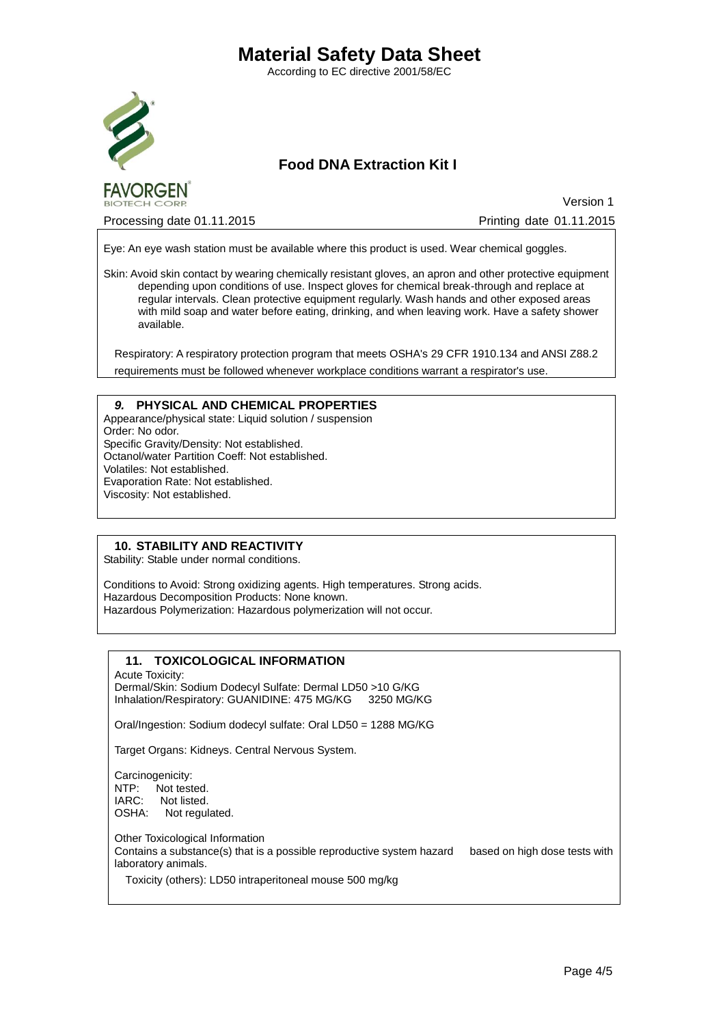According to EC directive 2001/58/EC



## **Food DNA Extraction Kit I**

Processing date 01.11.2015 Processing date 01.11.2015

**Version 1** 

Eye: An eye wash station must be available where this product is used. Wear chemical goggles.

Skin: Avoid skin contact by wearing chemically resistant gloves, an apron and other protective equipment depending upon conditions of use. Inspect gloves for chemical break-through and replace at regular intervals. Clean protective equipment regularly. Wash hands and other exposed areas with mild soap and water before eating, drinking, and when leaving work. Have a safety shower available.

Respiratory: A respiratory protection program that meets OSHA's 29 CFR 1910.134 and ANSI Z88.2 requirements must be followed whenever workplace conditions warrant a respirator's use.

#### *9.* **PHYSICAL AND CHEMICAL PROPERTIES**

Appearance/physical state: Liquid solution / suspension Order: No odor. Specific Gravity/Density: Not established. Octanol/water Partition Coeff: Not established. Volatiles: Not established. Evaporation Rate: Not established. Viscosity: Not established.

### **10. STABILITY AND REACTIVITY**

Stability: Stable under normal conditions.

Conditions to Avoid: Strong oxidizing agents. High temperatures. Strong acids. Hazardous Decomposition Products: None known. Hazardous Polymerization: Hazardous polymerization will not occur.

### **11. TOXICOLOGICAL INFORMATION**

Acute Toxicity:

Dermal/Skin: Sodium Dodecyl Sulfate: Dermal LD50 >10 G/KG Inhalation/Respiratory: GUANIDINE: 475 MG/KG 3250 MG/KG

Oral/Ingestion: Sodium dodecyl sulfate: Oral LD50 = 1288 MG/KG

Target Organs: Kidneys. Central Nervous System.

Carcinogenicity: NTP: Not tested.<br>IARC: Not listed. Not listed. OSHA: Not regulated.

Other Toxicological Information Contains a substance(s) that is a possible reproductive system hazard based on high dose tests with laboratory animals.

Toxicity (others): LD50 intraperitoneal mouse 500 mg/kg